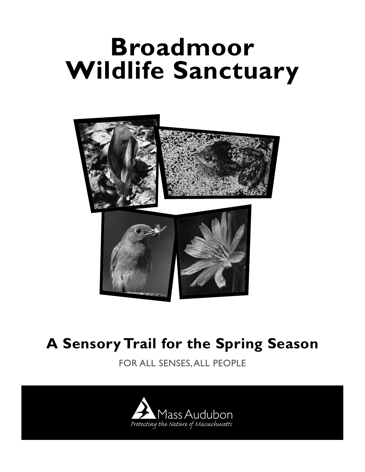# **Broadmoor Wildlife Sanctuary**



# **A Sensory Trail for the Spring Season**

FOR ALL SENSES, ALL PEOPLE

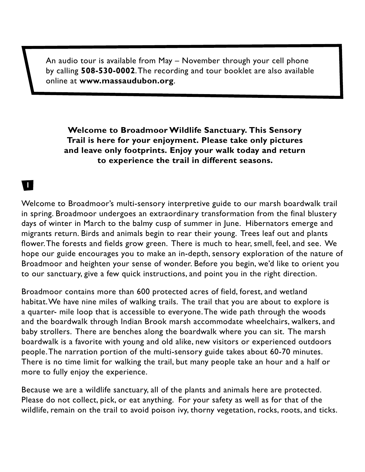An audio tour is available from May – November through your cell phone by calling **508-530-0002**. The recording and tour booklet are also available online at **www.massaudubon.org**.

#### **Welcome to Broadmoor Wildlife Sanctuary. This Sensory Trail is here for your enjoyment. Please take only pictures and leave only footprints. Enjoy your walk today and return to experience the trail in different seasons.**

### **11**

Welcome to Broadmoor's multi-sensory interpretive guide to our marsh boardwalk trail in spring. Broadmoor undergoes an extraordinary transformation from the final blustery days of winter in March to the balmy cusp of summer in June. Hibernators emerge and migrants return. Birds and animals begin to rear their young. Trees leaf out and plants flower. The forests and fields grow green. There is much to hear, smell, feel, and see. We hope our guide encourages you to make an in-depth, sensory exploration of the nature of Broadmoor and heighten your sense of wonder. Before you begin, we'd like to orient you to our sanctuary, give a few quick instructions, and point you in the right direction.

Broadmoor contains more than 600 protected acres of field, forest, and wetland habitat. We have nine miles of walking trails. The trail that you are about to explore is a quarter- mile loop that is accessible to everyone. The wide path through the woods and the boardwalk through Indian Brook marsh accommodate wheelchairs, walkers, and baby strollers. There are benches along the boardwalk where you can sit. The marsh boardwalk is a favorite with young and old alike, new visitors or experienced outdoors people. The narration portion of the multi-sensory guide takes about 60-70 minutes. There is no time limit for walking the trail, but many people take an hour and a half or more to fully enjoy the experience.

Because we are a wildlife sanctuary, all of the plants and animals here are protected. Please do not collect, pick, or eat anything. For your safety as well as for that of the wildlife, remain on the trail to avoid poison ivy, thorny vegetation, rocks, roots, and ticks.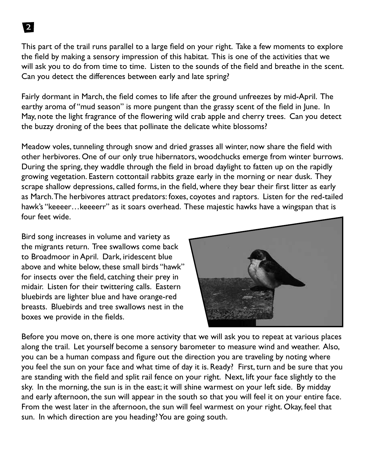This part of the trail runs parallel to a large field on your right. Take a few moments to explore the field by making a sensory impression of this habitat. This is one of the activities that we will ask you to do from time to time. Listen to the sounds of the field and breathe in the scent. Can you detect the differences between early and late spring?

Fairly dormant in March, the field comes to life after the ground unfreezes by mid-April. The earthy aroma of "mud season" is more pungent than the grassy scent of the field in June. In May, note the light fragrance of the flowering wild crab apple and cherry trees. Can you detect the buzzy droning of the bees that pollinate the delicate white blossoms?

Meadow voles, tunneling through snow and dried grasses all winter, now share the field with other herbivores. One of our only true hibernators, woodchucks emerge from winter burrows. During the spring, they waddle through the field in broad daylight to fatten up on the rapidly growing vegetation. Eastern cottontail rabbits graze early in the morning or near dusk. They scrape shallow depressions, called forms, in the field, where they bear their first litter as early as March. The herbivores attract predators: foxes, coyotes and raptors. Listen for the red-tailed hawk's "keeeer…keeeerr" as it soars overhead. These majestic hawks have a wingspan that is four feet wide.

Bird song increases in volume and variety as the migrants return. Tree swallows come back to Broadmoor in April. Dark, iridescent blue above and white below, these small birds "hawk" for insects over the field, catching their prey in midair. Listen for their twittering calls. Eastern bluebirds are lighter blue and have orange-red breasts. Bluebirds and tree swallows nest in the boxes we provide in the fields.



Before you move on, there is one more activity that we will ask you to repeat at various places along the trail. Let yourself become a sensory barometer to measure wind and weather. Also, you can be a human compass and figure out the direction you are traveling by noting where you feel the sun on your face and what time of day it is. Ready? First, turn and be sure that you are standing with the field and split rail fence on your right. Next, lift your face slightly to the sky. In the morning, the sun is in the east; it will shine warmest on your left side. By midday and early afternoon, the sun will appear in the south so that you will feel it on your entire face. From the west later in the afternoon, the sun will feel warmest on your right. Okay, feel that sun. In which direction are you heading? You are going south.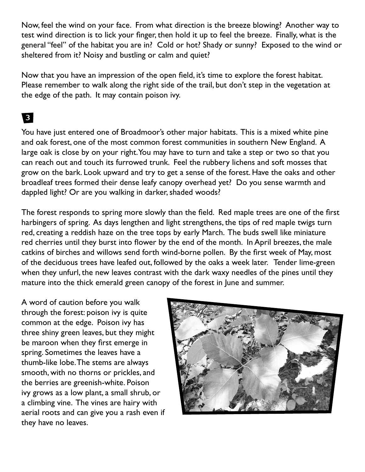Now, feel the wind on your face. From what direction is the breeze blowing? Another way to test wind direction is to lick your finger, then hold it up to feel the breeze. Finally, what is the general "feel" of the habitat you are in? Cold or hot? Shady or sunny? Exposed to the wind or sheltered from it? Noisy and bustling or calm and quiet?

Now that you have an impression of the open field, it's time to explore the forest habitat. Please remember to walk along the right side of the trail, but don't step in the vegetation at the edge of the path. It may contain poison ivy.

#### 3

You have just entered one of Broadmoor's other major habitats. This is a mixed white pine and oak forest, one of the most common forest communities in southern New England. A large oak is close by on your right. You may have to turn and take a step or two so that you can reach out and touch its furrowed trunk. Feel the rubbery lichens and soft mosses that grow on the bark. Look upward and try to get a sense of the forest. Have the oaks and other broadleaf trees formed their dense leafy canopy overhead yet? Do you sense warmth and dappled light? Or are you walking in darker, shaded woods?

The forest responds to spring more slowly than the field. Red maple trees are one of the first harbingers of spring. As days lengthen and light strengthens, the tips of red maple twigs turn red, creating a reddish haze on the tree tops by early March. The buds swell like miniature red cherries until they burst into flower by the end of the month. In April breezes, the male catkins of birches and willows send forth wind-borne pollen. By the first week of May, most of the deciduous trees have leafed out, followed by the oaks a week later. Tender lime-green when they unfurl, the new leaves contrast with the dark waxy needles of the pines until they mature into the thick emerald green canopy of the forest in June and summer.

A word of caution before you walk through the forest: poison ivy is quite common at the edge. Poison ivy has three shiny green leaves, but they might be maroon when they first emerge in spring. Sometimes the leaves have a thumb-like lobe. The stems are always smooth, with no thorns or prickles, and the berries are greenish-white. Poison ivy grows as a low plant, a small shrub, or a climbing vine. The vines are hairy with aerial roots and can give you a rash even if they have no leaves.

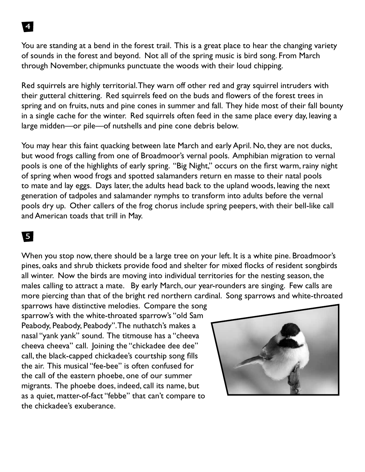You are standing at a bend in the forest trail. This is a great place to hear the changing variety of sounds in the forest and beyond. Not all of the spring music is bird song. From March through November, chipmunks punctuate the woods with their loud chipping.

Red squirrels are highly territorial. They warn off other red and gray squirrel intruders with their gutteral chittering. Red squirrels feed on the buds and flowers of the forest trees in spring and on fruits, nuts and pine cones in summer and fall. They hide most of their fall bounty in a single cache for the winter. Red squirrels often feed in the same place every day, leaving a large midden—or pile—of nutshells and pine cone debris below.

You may hear this faint quacking between late March and early April. No, they are not ducks, but wood frogs calling from one of Broadmoor's vernal pools. Amphibian migration to vernal pools is one of the highlights of early spring. "Big Night," occurs on the first warm, rainy night of spring when wood frogs and spotted salamanders return en masse to their natal pools to mate and lay eggs. Days later, the adults head back to the upland woods, leaving the next generation of tadpoles and salamander nymphs to transform into adults before the vernal pools dry up. Other callers of the frog chorus include spring peepers, with their bell-like call and American toads that trill in May.

#### 5

When you stop now, there should be a large tree on your left. It is a white pine. Broadmoor's pines, oaks and shrub thickets provide food and shelter for mixed flocks of resident songbirds all winter. Now the birds are moving into individual territories for the nesting season, the males calling to attract a mate. By early March, our year-rounders are singing. Few calls are more piercing than that of the bright red northern cardinal. Song sparrows and white-throated

sparrows have distinctive melodies. Compare the song sparrow's with the white-throated sparrow's "old Sam Peabody, Peabody, Peabody". The nuthatch's makes a nasal "yank yank" sound. The titmouse has a "cheeva cheeva cheeva" call. Joining the "chickadee dee dee" call, the black-capped chickadee's courtship song fills the air. This musical "fee-bee" is often confused for the call of the eastern phoebe, one of our summer migrants. The phoebe does, indeed, call its name, but as a quiet, matter-of-fact "febbe" that can't compare to the chickadee's exuberance.

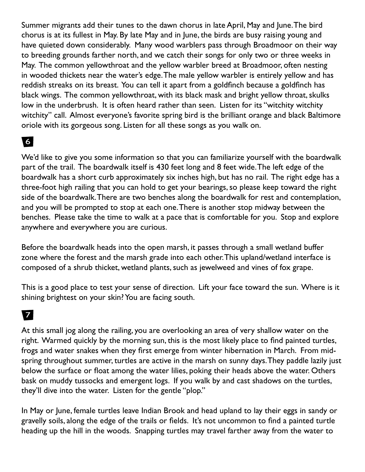Summer migrants add their tunes to the dawn chorus in late April, May and June. The bird chorus is at its fullest in May. By late May and in June, the birds are busy raising young and have quieted down considerably. Many wood warblers pass through Broadmoor on their way to breeding grounds farther north, and we catch their songs for only two or three weeks in May. The common yellowthroat and the yellow warbler breed at Broadmoor, often nesting in wooded thickets near the water's edge. The male yellow warbler is entirely yellow and has reddish streaks on its breast. You can tell it apart from a goldfinch because a goldfinch has black wings. The common yellowthroat, with its black mask and bright yellow throat, skulks low in the underbrush. It is often heard rather than seen. Listen for its "witchity witchity witchity" call. Almost everyone's favorite spring bird is the brilliant orange and black Baltimore oriole with its gorgeous song. Listen for all these songs as you walk on.

### 6

We'd like to give you some information so that you can familiarize yourself with the boardwalk part of the trail. The boardwalk itself is 430 feet long and 8 feet wide. The left edge of the boardwalk has a short curb approximately six inches high, but has no rail. The right edge has a three-foot high railing that you can hold to get your bearings, so please keep toward the right side of the boardwalk. There are two benches along the boardwalk for rest and contemplation, and you will be prompted to stop at each one. There is another stop midway between the benches. Please take the time to walk at a pace that is comfortable for you. Stop and explore anywhere and everywhere you are curious.

Before the boardwalk heads into the open marsh, it passes through a small wetland buffer zone where the forest and the marsh grade into each other. This upland/wetland interface is composed of a shrub thicket, wetland plants, such as jewelweed and vines of fox grape.

This is a good place to test your sense of direction. Lift your face toward the sun. Where is it shining brightest on your skin? You are facing south.

# **z**

At this small jog along the railing, you are overlooking an area of very shallow water on the right. Warmed quickly by the morning sun, this is the most likely place to find painted turtles, frogs and water snakes when they first emerge from winter hibernation in March. From midspring throughout summer, turtles are active in the marsh on sunny days. They paddle lazily just below the surface or float among the water lilies, poking their heads above the water. Others bask on muddy tussocks and emergent logs. If you walk by and cast shadows on the turtles, they'll dive into the water. Listen for the gentle "plop."

In May or June, female turtles leave Indian Brook and head upland to lay their eggs in sandy or gravelly soils, along the edge of the trails or fields. It's not uncommon to find a painted turtle heading up the hill in the woods. Snapping turtles may travel farther away from the water to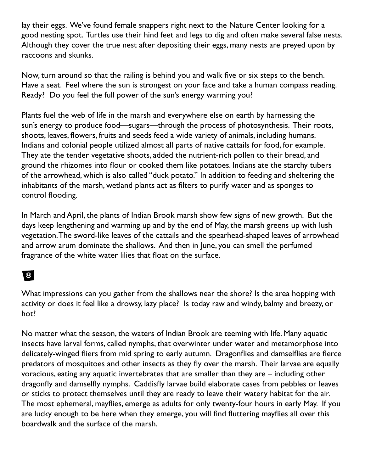lay their eggs. We've found female snappers right next to the Nature Center looking for a good nesting spot. Turtles use their hind feet and legs to dig and often make several false nests. Although they cover the true nest after depositing their eggs, many nests are preyed upon by raccoons and skunks.

Now, turn around so that the railing is behind you and walk five or six steps to the bench. Have a seat. Feel where the sun is strongest on your face and take a human compass reading. Ready? Do you feel the full power of the sun's energy warming you?

Plants fuel the web of life in the marsh and everywhere else on earth by harnessing the sun's energy to produce food—sugars—through the process of photosynthesis. Their roots, shoots, leaves, flowers, fruits and seeds feed a wide variety of animals, including humans. Indians and colonial people utilized almost all parts of native cattails for food, for example. They ate the tender vegetative shoots, added the nutrient-rich pollen to their bread, and ground the rhizomes into flour or cooked them like potatoes. Indians ate the starchy tubers of the arrowhead, which is also called "duck potato." In addition to feeding and sheltering the inhabitants of the marsh, wetland plants act as filters to purify water and as sponges to control flooding.

In March and April, the plants of Indian Brook marsh show few signs of new growth. But the days keep lengthening and warming up and by the end of May, the marsh greens up with lush vegetation. The sword-like leaves of the cattails and the spearhead-shaped leaves of arrowhead and arrow arum dominate the shallows. And then in June, you can smell the perfumed fragrance of the white water lilies that float on the surface.

# 8

What impressions can you gather from the shallows near the shore? Is the area hopping with activity or does it feel like a drowsy, lazy place? Is today raw and windy, balmy and breezy, or hot?

No matter what the season, the waters of Indian Brook are teeming with life. Many aquatic insects have larval forms, called nymphs, that overwinter under water and metamorphose into delicately-winged fliers from mid spring to early autumn. Dragonflies and damselflies are fierce predators of mosquitoes and other insects as they fly over the marsh. Their larvae are equally voracious, eating any aquatic invertebrates that are smaller than they are – including other dragonfly and damselfly nymphs. Caddisfly larvae build elaborate cases from pebbles or leaves or sticks to protect themselves until they are ready to leave their watery habitat for the air. The most ephemeral, mayflies, emerge as adults for only twenty-four hours in early May. If you are lucky enough to be here when they emerge, you will find fluttering mayflies all over this boardwalk and the surface of the marsh.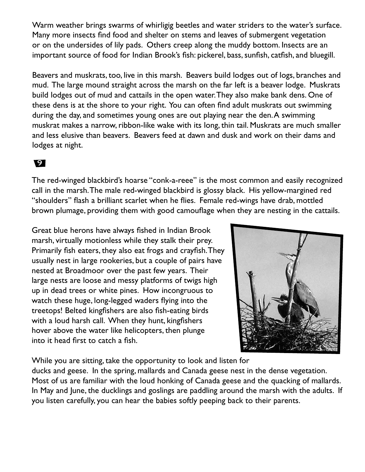Warm weather brings swarms of whirligig beetles and water striders to the water's surface. Many more insects find food and shelter on stems and leaves of submergent vegetation or on the undersides of lily pads. Others creep along the muddy bottom. Insects are an important source of food for Indian Brook's fish: pickerel, bass, sunfish, catfish, and bluegill.

Beavers and muskrats, too, live in this marsh. Beavers build lodges out of logs, branches and mud. The large mound straight across the marsh on the far left is a beaver lodge. Muskrats build lodges out of mud and cattails in the open water. They also make bank dens. One of these dens is at the shore to your right. You can often find adult muskrats out swimming during the day, and sometimes young ones are out playing near the den. A swimming muskrat makes a narrow, ribbon-like wake with its long, thin tail. Muskrats are much smaller and less elusive than beavers. Beavers feed at dawn and dusk and work on their dams and lodges at night.

#### 9

The red-winged blackbird's hoarse "conk-a-reee" is the most common and easily recognized call in the marsh. The male red-winged blackbird is glossy black. His yellow-margined red "shoulders" flash a brilliant scarlet when he flies. Female red-wings have drab, mottled brown plumage, providing them with good camouflage when they are nesting in the cattails.

Great blue herons have always fished in Indian Brook marsh, virtually motionless while they stalk their prey. Primarily fish eaters, they also eat frogs and crayfish. They usually nest in large rookeries, but a couple of pairs have nested at Broadmoor over the past few years. Their large nests are loose and messy platforms of twigs high up in dead trees or white pines. How incongruous to watch these huge, long-legged waders flying into the treetops! Belted kingfishers are also fish-eating birds with a loud harsh call. When they hunt, kingfishers hover above the water like helicopters, then plunge into it head first to catch a fish.



While you are sitting, take the opportunity to look and listen for ducks and geese. In the spring, mallards and Canada geese nest in the dense vegetation. Most of us are familiar with the loud honking of Canada geese and the quacking of mallards. In May and June, the ducklings and goslings are paddling around the marsh with the adults. If you listen carefully, you can hear the babies softly peeping back to their parents.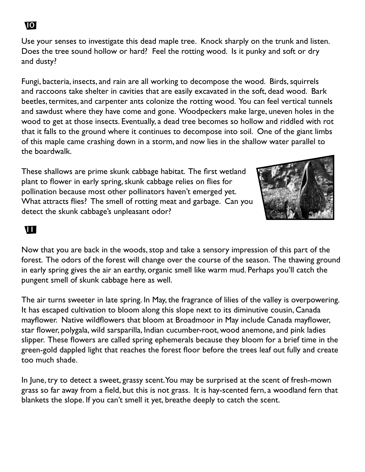Use your senses to investigate this dead maple tree. Knock sharply on the trunk and listen. Does the tree sound hollow or hard? Feel the rotting wood. Is it punky and soft or dry and dusty?

Fungi, bacteria, insects, and rain are all working to decompose the wood. Birds, squirrels and raccoons take shelter in cavities that are easily excavated in the soft, dead wood. Bark beetles, termites, and carpenter ants colonize the rotting wood. You can feel vertical tunnels and sawdust where they have come and gone. Woodpeckers make large, uneven holes in the wood to get at those insects. Eventually, a dead tree becomes so hollow and riddled with rot that it falls to the ground where it continues to decompose into soil. One of the giant limbs of this maple came crashing down in a storm, and now lies in the shallow water parallel to the boardwalk.

These shallows are prime skunk cabbage habitat. The first wetland plant to flower in early spring, skunk cabbage relies on flies for pollination because most other pollinators haven't emerged yet. What attracts flies? The smell of rotting meat and garbage. Can you detect the skunk cabbage's unpleasant odor?



#### **111**

Now that you are back in the woods, stop and take a sensory impression of this part of the forest. The odors of the forest will change over the course of the season. The thawing ground in early spring gives the air an earthy, organic smell like warm mud. Perhaps you'll catch the pungent smell of skunk cabbage here as well.

The air turns sweeter in late spring. In May, the fragrance of lilies of the valley is overpowering. It has escaped cultivation to bloom along this slope next to its diminutive cousin, Canada mayflower. Native wildflowers that bloom at Broadmoor in May include Canada mayflower, star flower, polygala, wild sarsparilla, Indian cucumber-root, wood anemone, and pink ladies slipper. These flowers are called spring ephemerals because they bloom for a brief time in the green-gold dappled light that reaches the forest floor before the trees leaf out fully and create too much shade.

In June, try to detect a sweet, grassy scent. You may be surprised at the scent of fresh-mown grass so far away from a field, but this is not grass. It is hay-scented fern, a woodland fern that blankets the slope. If you can't smell it yet, breathe deeply to catch the scent.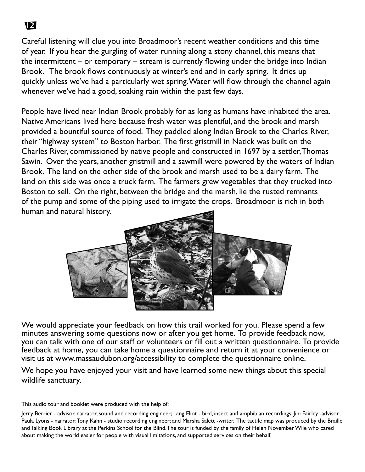Careful listening will clue you into Broadmoor's recent weather conditions and this time of year. If you hear the gurgling of water running along a stony channel, this means that the intermittent – or temporary – stream is currently flowing under the bridge into Indian Brook. The brook flows continuously at winter's end and in early spring. It dries up quickly unless we've had a particularly wet spring. Water will flow through the channel again whenever we've had a good, soaking rain within the past few days.

People have lived near Indian Brook probably for as long as humans have inhabited the area. Native Americans lived here because fresh water was plentiful, and the brook and marsh provided a bountiful source of food. They paddled along Indian Brook to the Charles River, their "highway system" to Boston harbor. The first gristmill in Natick was built on the Charles River, commissioned by native people and constructed in 1697 by a settler, Thomas Sawin. Over the years, another gristmill and a sawmill were powered by the waters of Indian Brook. The land on the other side of the brook and marsh used to be a dairy farm. The land on this side was once a truck farm. The farmers grew vegetables that they trucked into Boston to sell. On the right, between the bridge and the marsh, lie the rusted remnants of the pump and some of the piping used to irrigate the crops. Broadmoor is rich in both human and natural history.



We would appreciate your feedback on how this trail worked for you. Please spend a few minutes answering some questions now or after you get home. To provide feedback now, you can talk with one of our staff or volunteers or fill out a written questionnaire. To provide feedback at home, you can take home a questionnaire and return it at your convenience or visit us at www.massaudubon.org/accessibility to complete the questionnaire online.

We hope you have enjoyed your visit and have learned some new things about this special wildlife sanctuary.

This audio tour and booklet were produced with the help of:

Jerry Berrier - advisor, narrator, sound and recording engineer; Lang Eliot - bird, insect and amphibian recordings; Jini Fairley -advisor; Paula Lyons - narrator; Tony Kahn - studio recording engineer; and Marsha Salett -writer. The tactile map was produced by the Braille and Talking Book Library at the Perkins School for the Blind. The tour is funded by the family of Helen November Wile who cared about making the world easier for people with visual limitations, and supported services on their behalf.